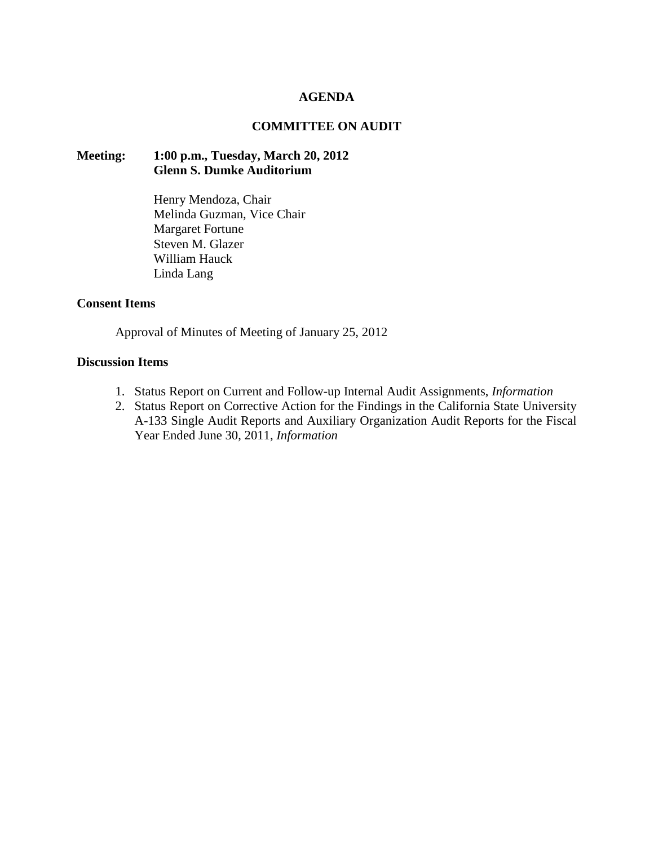# **AGENDA**

# **COMMITTEE ON AUDIT**

## **Meeting: 1:00 p.m., Tuesday, March 20, 2012 Glenn S. Dumke Auditorium**

Henry Mendoza, Chair Melinda Guzman, Vice Chair Margaret Fortune Steven M. Glazer William Hauck Linda Lang

## **Consent Items**

Approval of Minutes of Meeting of January 25, 2012

## **Discussion Items**

- 1. Status Report on Current and Follow-up Internal Audit Assignments, *Information*
- 2. Status Report on Corrective Action for the Findings in the California State University A-133 Single Audit Reports and Auxiliary Organization Audit Reports for the Fiscal Year Ended June 30, 2011, *Information*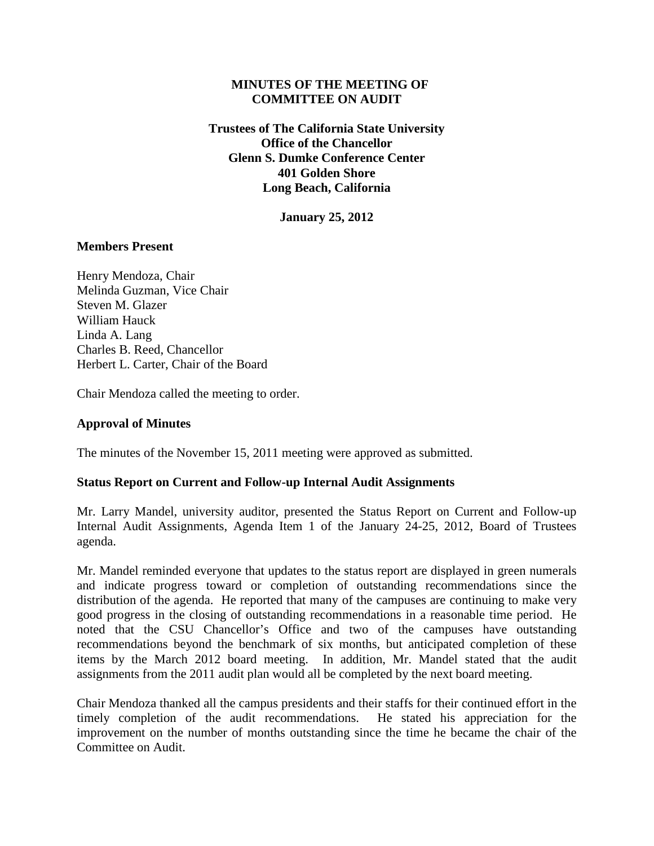# **MINUTES OF THE MEETING OF COMMITTEE ON AUDIT**

**Trustees of The California State University Office of the Chancellor Glenn S. Dumke Conference Center 401 Golden Shore Long Beach, California**

**January 25, 2012**

# **Members Present**

Henry Mendoza, Chair Melinda Guzman, Vice Chair Steven M. Glazer William Hauck Linda A. Lang Charles B. Reed, Chancellor Herbert L. Carter, Chair of the Board

Chair Mendoza called the meeting to order.

# **Approval of Minutes**

The minutes of the November 15, 2011 meeting were approved as submitted.

# **Status Report on Current and Follow-up Internal Audit Assignments**

Mr. Larry Mandel, university auditor, presented the Status Report on Current and Follow-up Internal Audit Assignments, Agenda Item 1 of the January 24-25, 2012, Board of Trustees agenda.

Mr. Mandel reminded everyone that updates to the status report are displayed in green numerals and indicate progress toward or completion of outstanding recommendations since the distribution of the agenda. He reported that many of the campuses are continuing to make very good progress in the closing of outstanding recommendations in a reasonable time period. He noted that the CSU Chancellor's Office and two of the campuses have outstanding recommendations beyond the benchmark of six months, but anticipated completion of these items by the March 2012 board meeting. In addition, Mr. Mandel stated that the audit assignments from the 2011 audit plan would all be completed by the next board meeting.

Chair Mendoza thanked all the campus presidents and their staffs for their continued effort in the timely completion of the audit recommendations. He stated his appreciation for the improvement on the number of months outstanding since the time he became the chair of the Committee on Audit.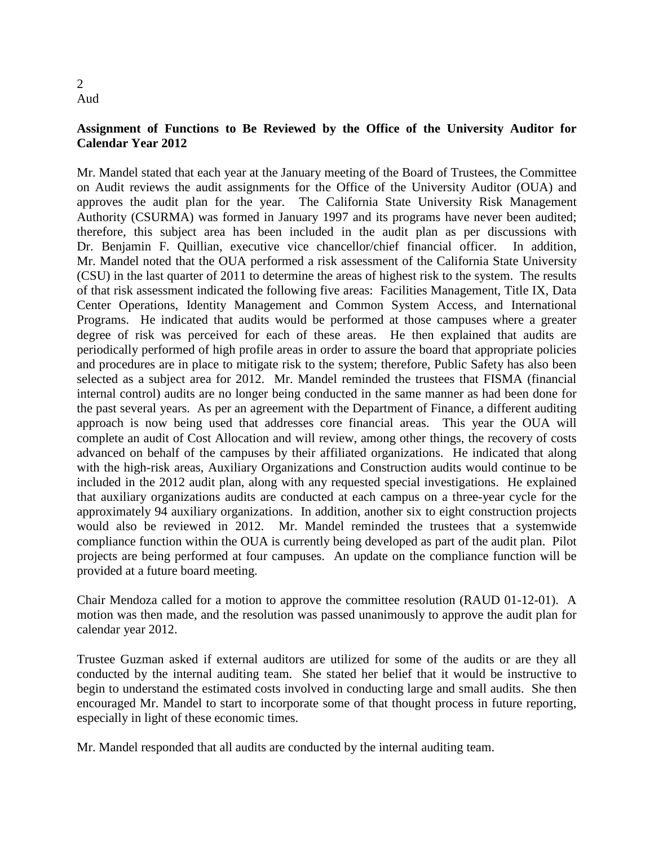## 2 Aud

# **Assignment of Functions to Be Reviewed by the Office of the University Auditor for Calendar Year 2012**

Mr. Mandel stated that each year at the January meeting of the Board of Trustees, the Committee on Audit reviews the audit assignments for the Office of the University Auditor (OUA) and approves the audit plan for the year. The California State University Risk Management Authority (CSURMA) was formed in January 1997 and its programs have never been audited; therefore, this subject area has been included in the audit plan as per discussions with Dr. Benjamin F. Quillian, executive vice chancellor/chief financial officer. In addition, Mr. Mandel noted that the OUA performed a risk assessment of the California State University (CSU) in the last quarter of 2011 to determine the areas of highest risk to the system. The results of that risk assessment indicated the following five areas: Facilities Management, Title IX, Data Center Operations, Identity Management and Common System Access, and International Programs. He indicated that audits would be performed at those campuses where a greater degree of risk was perceived for each of these areas. He then explained that audits are periodically performed of high profile areas in order to assure the board that appropriate policies and procedures are in place to mitigate risk to the system; therefore, Public Safety has also been selected as a subject area for 2012. Mr. Mandel reminded the trustees that FISMA (financial internal control) audits are no longer being conducted in the same manner as had been done for the past several years. As per an agreement with the Department of Finance, a different auditing approach is now being used that addresses core financial areas. This year the OUA will complete an audit of Cost Allocation and will review, among other things, the recovery of costs advanced on behalf of the campuses by their affiliated organizations. He indicated that along with the high-risk areas, Auxiliary Organizations and Construction audits would continue to be included in the 2012 audit plan, along with any requested special investigations. He explained that auxiliary organizations audits are conducted at each campus on a three-year cycle for the approximately 94 auxiliary organizations. In addition, another six to eight construction projects would also be reviewed in 2012. Mr. Mandel reminded the trustees that a systemwide compliance function within the OUA is currently being developed as part of the audit plan. Pilot projects are being performed at four campuses. An update on the compliance function will be provided at a future board meeting.

Chair Mendoza called for a motion to approve the committee resolution (RAUD 01-12-01). A motion was then made, and the resolution was passed unanimously to approve the audit plan for calendar year 2012.

Trustee Guzman asked if external auditors are utilized for some of the audits or are they all conducted by the internal auditing team. She stated her belief that it would be instructive to begin to understand the estimated costs involved in conducting large and small audits. She then encouraged Mr. Mandel to start to incorporate some of that thought process in future reporting, especially in light of these economic times.

Mr. Mandel responded that all audits are conducted by the internal auditing team.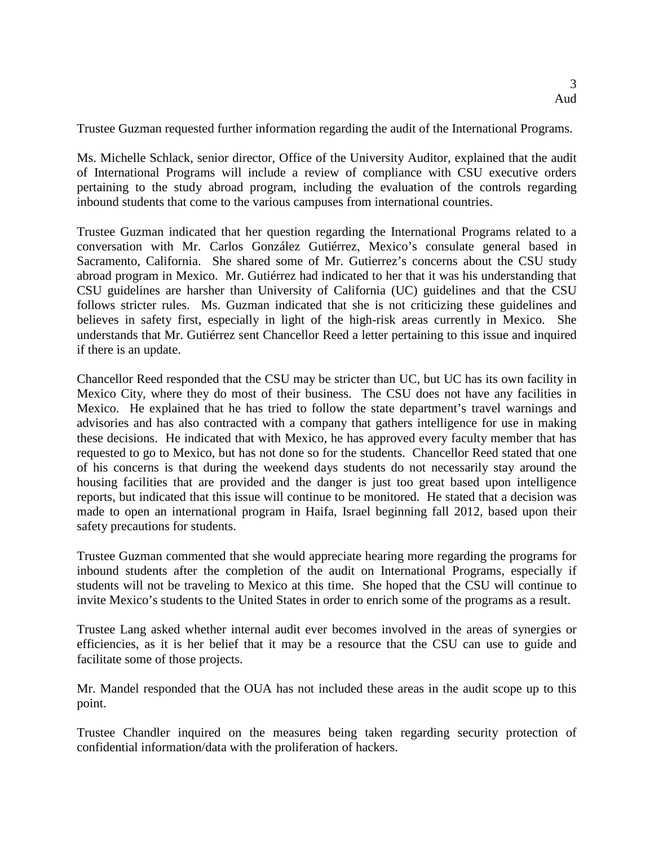Trustee Guzman requested further information regarding the audit of the International Programs.

Ms. Michelle Schlack, senior director, Office of the University Auditor, explained that the audit of International Programs will include a review of compliance with CSU executive orders pertaining to the study abroad program, including the evaluation of the controls regarding inbound students that come to the various campuses from international countries.

Trustee Guzman indicated that her question regarding the International Programs related to a conversation with Mr. Carlos González Gutiérrez, Mexico's consulate general based in Sacramento, California. She shared some of Mr. Gutierrez's concerns about the CSU study abroad program in Mexico. Mr. Gutiérrez had indicated to her that it was his understanding that CSU guidelines are harsher than University of California (UC) guidelines and that the CSU follows stricter rules. Ms. Guzman indicated that she is not criticizing these guidelines and believes in safety first, especially in light of the high-risk areas currently in Mexico. She understands that Mr. Gutiérrez sent Chancellor Reed a letter pertaining to this issue and inquired if there is an update.

Chancellor Reed responded that the CSU may be stricter than UC, but UC has its own facility in Mexico City, where they do most of their business. The CSU does not have any facilities in Mexico. He explained that he has tried to follow the state department's travel warnings and advisories and has also contracted with a company that gathers intelligence for use in making these decisions. He indicated that with Mexico, he has approved every faculty member that has requested to go to Mexico, but has not done so for the students. Chancellor Reed stated that one of his concerns is that during the weekend days students do not necessarily stay around the housing facilities that are provided and the danger is just too great based upon intelligence reports, but indicated that this issue will continue to be monitored. He stated that a decision was made to open an international program in Haifa, Israel beginning fall 2012, based upon their safety precautions for students.

Trustee Guzman commented that she would appreciate hearing more regarding the programs for inbound students after the completion of the audit on International Programs, especially if students will not be traveling to Mexico at this time. She hoped that the CSU will continue to invite Mexico's students to the United States in order to enrich some of the programs as a result.

Trustee Lang asked whether internal audit ever becomes involved in the areas of synergies or efficiencies, as it is her belief that it may be a resource that the CSU can use to guide and facilitate some of those projects.

Mr. Mandel responded that the OUA has not included these areas in the audit scope up to this point.

Trustee Chandler inquired on the measures being taken regarding security protection of confidential information/data with the proliferation of hackers.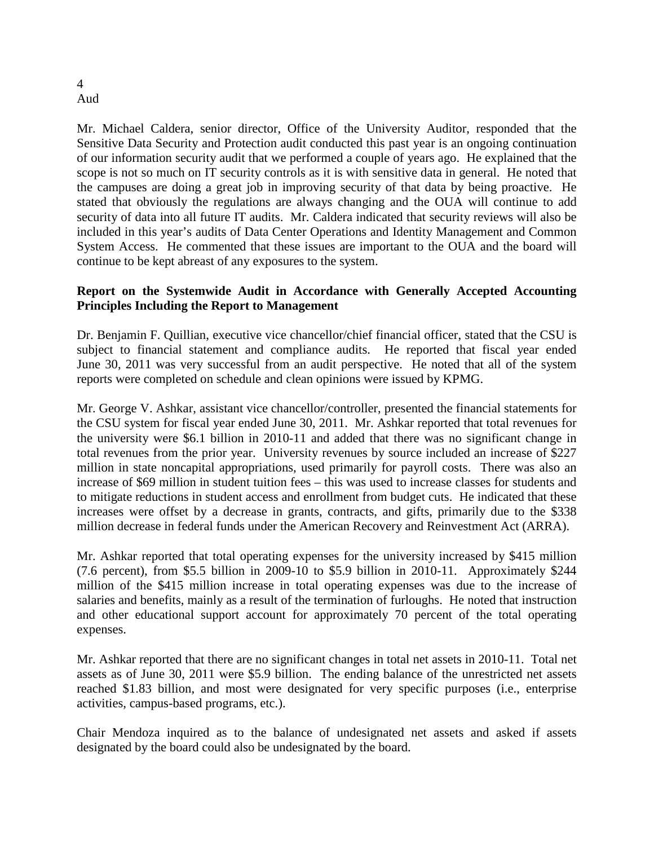#### 4 Aud

Mr. Michael Caldera, senior director, Office of the University Auditor, responded that the Sensitive Data Security and Protection audit conducted this past year is an ongoing continuation of our information security audit that we performed a couple of years ago. He explained that the scope is not so much on IT security controls as it is with sensitive data in general. He noted that the campuses are doing a great job in improving security of that data by being proactive. He stated that obviously the regulations are always changing and the OUA will continue to add security of data into all future IT audits. Mr. Caldera indicated that security reviews will also be included in this year's audits of Data Center Operations and Identity Management and Common System Access. He commented that these issues are important to the OUA and the board will continue to be kept abreast of any exposures to the system.

# **Report on the Systemwide Audit in Accordance with Generally Accepted Accounting Principles Including the Report to Management**

Dr. Benjamin F. Quillian, executive vice chancellor/chief financial officer, stated that the CSU is subject to financial statement and compliance audits. He reported that fiscal year ended June 30, 2011 was very successful from an audit perspective. He noted that all of the system reports were completed on schedule and clean opinions were issued by KPMG.

Mr. George V. Ashkar, assistant vice chancellor/controller, presented the financial statements for the CSU system for fiscal year ended June 30, 2011. Mr. Ashkar reported that total revenues for the university were \$6.1 billion in 2010-11 and added that there was no significant change in total revenues from the prior year. University revenues by source included an increase of \$227 million in state noncapital appropriations, used primarily for payroll costs. There was also an increase of \$69 million in student tuition fees – this was used to increase classes for students and to mitigate reductions in student access and enrollment from budget cuts. He indicated that these increases were offset by a decrease in grants, contracts, and gifts, primarily due to the \$338 million decrease in federal funds under the American Recovery and Reinvestment Act (ARRA).

Mr. Ashkar reported that total operating expenses for the university increased by \$415 million (7.6 percent), from \$5.5 billion in 2009-10 to \$5.9 billion in 2010-11. Approximately \$244 million of the \$415 million increase in total operating expenses was due to the increase of salaries and benefits, mainly as a result of the termination of furloughs. He noted that instruction and other educational support account for approximately 70 percent of the total operating expenses.

Mr. Ashkar reported that there are no significant changes in total net assets in 2010-11. Total net assets as of June 30, 2011 were \$5.9 billion. The ending balance of the unrestricted net assets reached \$1.83 billion, and most were designated for very specific purposes (i.e., enterprise activities, campus-based programs, etc.).

Chair Mendoza inquired as to the balance of undesignated net assets and asked if assets designated by the board could also be undesignated by the board.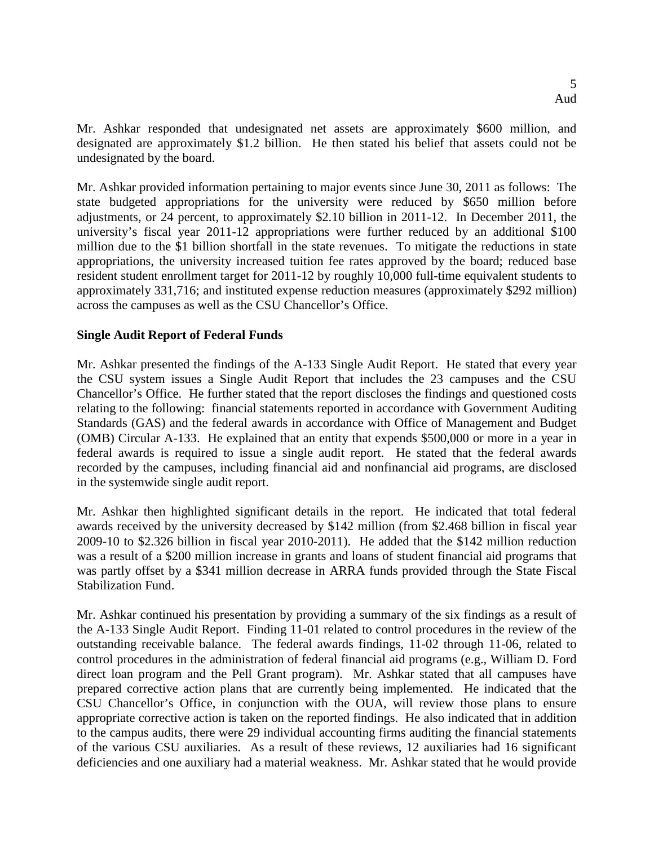Mr. Ashkar responded that undesignated net assets are approximately \$600 million, and designated are approximately \$1.2 billion. He then stated his belief that assets could not be undesignated by the board.

Mr. Ashkar provided information pertaining to major events since June 30, 2011 as follows: The state budgeted appropriations for the university were reduced by \$650 million before adjustments, or 24 percent, to approximately \$2.10 billion in 2011-12. In December 2011, the university's fiscal year 2011-12 appropriations were further reduced by an additional \$100 million due to the \$1 billion shortfall in the state revenues. To mitigate the reductions in state appropriations, the university increased tuition fee rates approved by the board; reduced base resident student enrollment target for 2011-12 by roughly 10,000 full-time equivalent students to approximately 331,716; and instituted expense reduction measures (approximately \$292 million) across the campuses as well as the CSU Chancellor's Office.

# **Single Audit Report of Federal Funds**

Mr. Ashkar presented the findings of the A-133 Single Audit Report. He stated that every year the CSU system issues a Single Audit Report that includes the 23 campuses and the CSU Chancellor's Office. He further stated that the report discloses the findings and questioned costs relating to the following: financial statements reported in accordance with Government Auditing Standards (GAS) and the federal awards in accordance with Office of Management and Budget (OMB) Circular A-133. He explained that an entity that expends \$500,000 or more in a year in federal awards is required to issue a single audit report. He stated that the federal awards recorded by the campuses, including financial aid and nonfinancial aid programs, are disclosed in the systemwide single audit report.

Mr. Ashkar then highlighted significant details in the report. He indicated that total federal awards received by the university decreased by \$142 million (from \$2.468 billion in fiscal year 2009-10 to \$2.326 billion in fiscal year 2010-2011). He added that the \$142 million reduction was a result of a \$200 million increase in grants and loans of student financial aid programs that was partly offset by a \$341 million decrease in ARRA funds provided through the State Fiscal Stabilization Fund.

Mr. Ashkar continued his presentation by providing a summary of the six findings as a result of the A-133 Single Audit Report. Finding 11-01 related to control procedures in the review of the outstanding receivable balance. The federal awards findings, 11-02 through 11-06, related to control procedures in the administration of federal financial aid programs (e.g., William D. Ford direct loan program and the Pell Grant program). Mr. Ashkar stated that all campuses have prepared corrective action plans that are currently being implemented. He indicated that the CSU Chancellor's Office, in conjunction with the OUA, will review those plans to ensure appropriate corrective action is taken on the reported findings. He also indicated that in addition to the campus audits, there were 29 individual accounting firms auditing the financial statements of the various CSU auxiliaries. As a result of these reviews, 12 auxiliaries had 16 significant deficiencies and one auxiliary had a material weakness. Mr. Ashkar stated that he would provide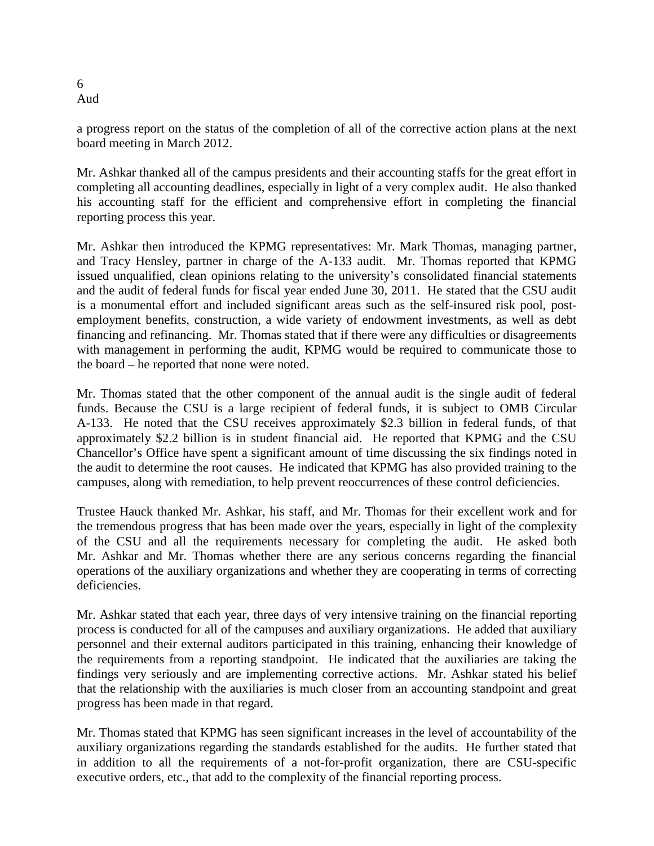a progress report on the status of the completion of all of the corrective action plans at the next board meeting in March 2012.

Mr. Ashkar thanked all of the campus presidents and their accounting staffs for the great effort in completing all accounting deadlines, especially in light of a very complex audit. He also thanked his accounting staff for the efficient and comprehensive effort in completing the financial reporting process this year.

Mr. Ashkar then introduced the KPMG representatives: Mr. Mark Thomas, managing partner, and Tracy Hensley, partner in charge of the A-133 audit. Mr. Thomas reported that KPMG issued unqualified, clean opinions relating to the university's consolidated financial statements and the audit of federal funds for fiscal year ended June 30, 2011. He stated that the CSU audit is a monumental effort and included significant areas such as the self-insured risk pool, postemployment benefits, construction, a wide variety of endowment investments, as well as debt financing and refinancing. Mr. Thomas stated that if there were any difficulties or disagreements with management in performing the audit, KPMG would be required to communicate those to the board – he reported that none were noted.

Mr. Thomas stated that the other component of the annual audit is the single audit of federal funds. Because the CSU is a large recipient of federal funds, it is subject to OMB Circular A-133. He noted that the CSU receives approximately \$2.3 billion in federal funds, of that approximately \$2.2 billion is in student financial aid. He reported that KPMG and the CSU Chancellor's Office have spent a significant amount of time discussing the six findings noted in the audit to determine the root causes. He indicated that KPMG has also provided training to the campuses, along with remediation, to help prevent reoccurrences of these control deficiencies.

Trustee Hauck thanked Mr. Ashkar, his staff, and Mr. Thomas for their excellent work and for the tremendous progress that has been made over the years, especially in light of the complexity of the CSU and all the requirements necessary for completing the audit. He asked both Mr. Ashkar and Mr. Thomas whether there are any serious concerns regarding the financial operations of the auxiliary organizations and whether they are cooperating in terms of correcting deficiencies.

Mr. Ashkar stated that each year, three days of very intensive training on the financial reporting process is conducted for all of the campuses and auxiliary organizations. He added that auxiliary personnel and their external auditors participated in this training, enhancing their knowledge of the requirements from a reporting standpoint. He indicated that the auxiliaries are taking the findings very seriously and are implementing corrective actions. Mr. Ashkar stated his belief that the relationship with the auxiliaries is much closer from an accounting standpoint and great progress has been made in that regard.

Mr. Thomas stated that KPMG has seen significant increases in the level of accountability of the auxiliary organizations regarding the standards established for the audits. He further stated that in addition to all the requirements of a not-for-profit organization, there are CSU-specific executive orders, etc., that add to the complexity of the financial reporting process.

6 Aud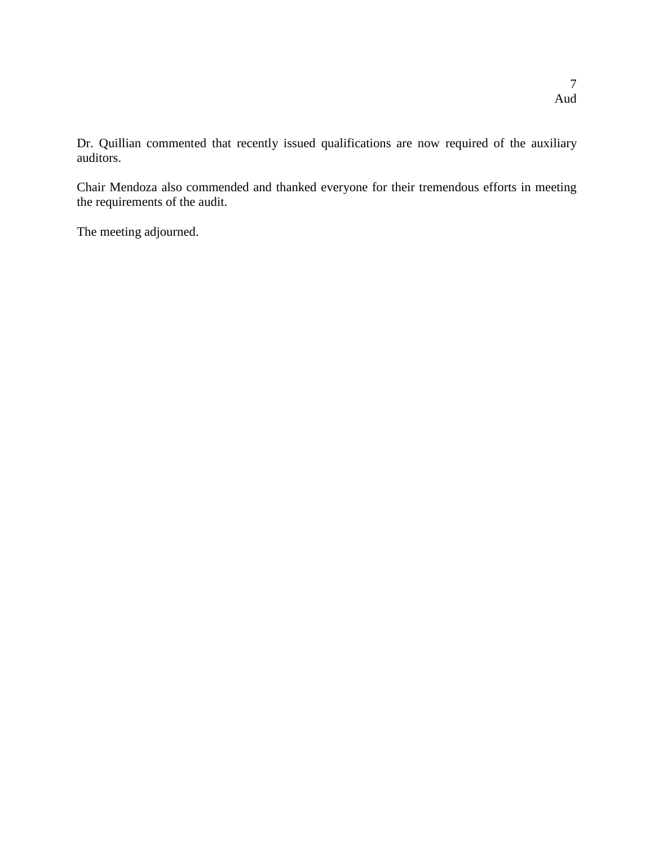Dr. Quillian commented that recently issued qualifications are now required of the auxiliary auditors.

Chair Mendoza also commended and thanked everyone for their tremendous efforts in meeting the requirements of the audit.

The meeting adjourned.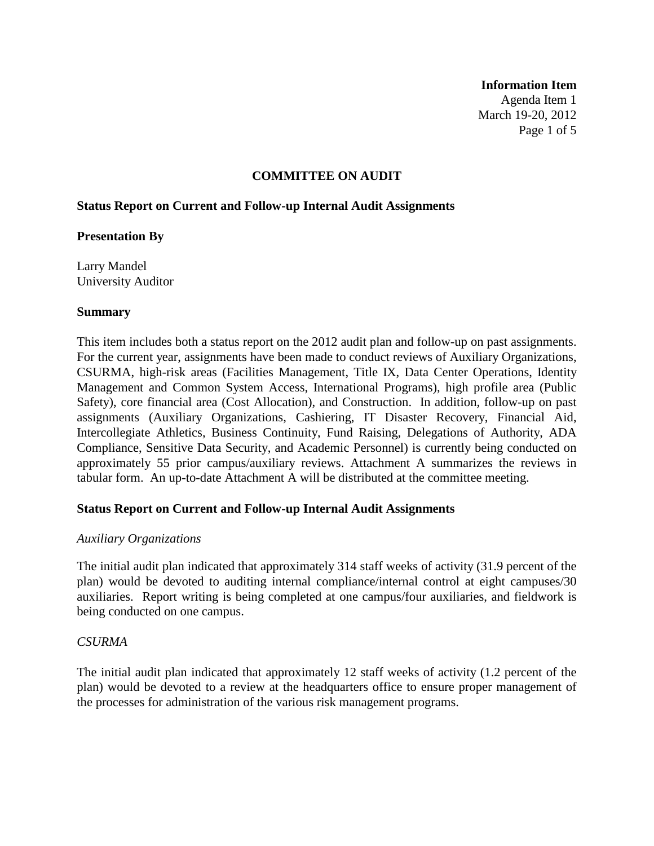#### **Information Item**

Agenda Item 1 March 19-20, 2012 Page 1 of 5

## **COMMITTEE ON AUDIT**

## **Status Report on Current and Follow-up Internal Audit Assignments**

### **Presentation By**

Larry Mandel University Auditor

### **Summary**

This item includes both a status report on the 2012 audit plan and follow-up on past assignments. For the current year, assignments have been made to conduct reviews of Auxiliary Organizations, CSURMA, high-risk areas (Facilities Management, Title IX, Data Center Operations, Identity Management and Common System Access, International Programs), high profile area (Public Safety), core financial area (Cost Allocation), and Construction. In addition, follow-up on past assignments (Auxiliary Organizations, Cashiering, IT Disaster Recovery, Financial Aid, Intercollegiate Athletics, Business Continuity, Fund Raising, Delegations of Authority, ADA Compliance, Sensitive Data Security, and Academic Personnel) is currently being conducted on approximately 55 prior campus/auxiliary reviews. Attachment A summarizes the reviews in tabular form. An up-to-date Attachment A will be distributed at the committee meeting.

# **Status Report on Current and Follow-up Internal Audit Assignments**

### *Auxiliary Organizations*

The initial audit plan indicated that approximately 314 staff weeks of activity (31.9 percent of the plan) would be devoted to auditing internal compliance/internal control at eight campuses/30 auxiliaries. Report writing is being completed at one campus/four auxiliaries, and fieldwork is being conducted on one campus.

### *CSURMA*

The initial audit plan indicated that approximately 12 staff weeks of activity (1.2 percent of the plan) would be devoted to a review at the headquarters office to ensure proper management of the processes for administration of the various risk management programs.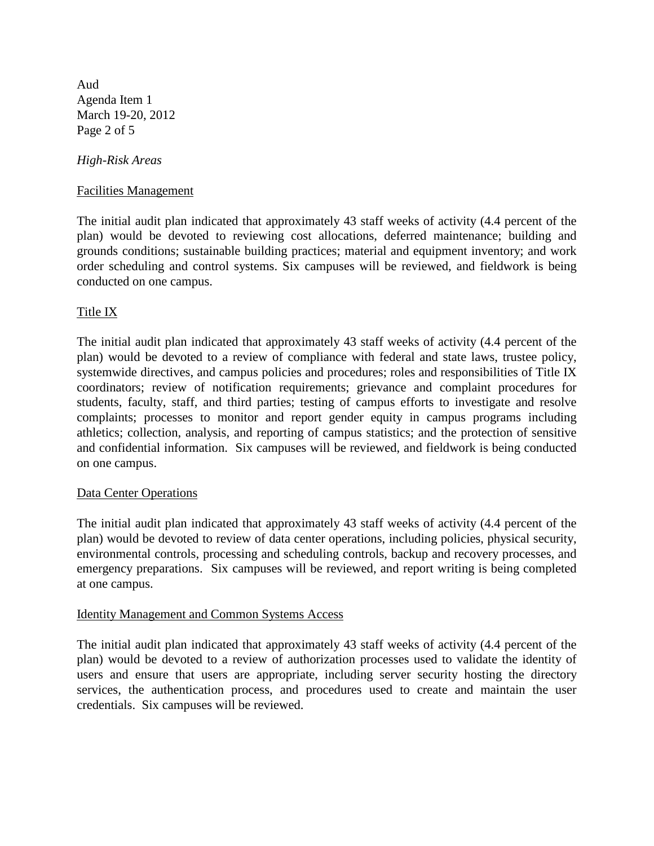Aud Agenda Item 1 March 19-20, 2012 Page 2 of 5

## *High-Risk Areas*

## Facilities Management

The initial audit plan indicated that approximately 43 staff weeks of activity (4.4 percent of the plan) would be devoted to reviewing cost allocations, deferred maintenance; building and grounds conditions; sustainable building practices; material and equipment inventory; and work order scheduling and control systems. Six campuses will be reviewed, and fieldwork is being conducted on one campus.

# Title IX

The initial audit plan indicated that approximately 43 staff weeks of activity (4.4 percent of the plan) would be devoted to a review of compliance with federal and state laws, trustee policy, systemwide directives, and campus policies and procedures; roles and responsibilities of Title IX coordinators; review of notification requirements; grievance and complaint procedures for students, faculty, staff, and third parties; testing of campus efforts to investigate and resolve complaints; processes to monitor and report gender equity in campus programs including athletics; collection, analysis, and reporting of campus statistics; and the protection of sensitive and confidential information. Six campuses will be reviewed, and fieldwork is being conducted on one campus.

### Data Center Operations

The initial audit plan indicated that approximately 43 staff weeks of activity (4.4 percent of the plan) would be devoted to review of data center operations, including policies, physical security, environmental controls, processing and scheduling controls, backup and recovery processes, and emergency preparations. Six campuses will be reviewed, and report writing is being completed at one campus.

### Identity Management and Common Systems Access

The initial audit plan indicated that approximately 43 staff weeks of activity (4.4 percent of the plan) would be devoted to a review of authorization processes used to validate the identity of users and ensure that users are appropriate, including server security hosting the directory services, the authentication process, and procedures used to create and maintain the user credentials. Six campuses will be reviewed.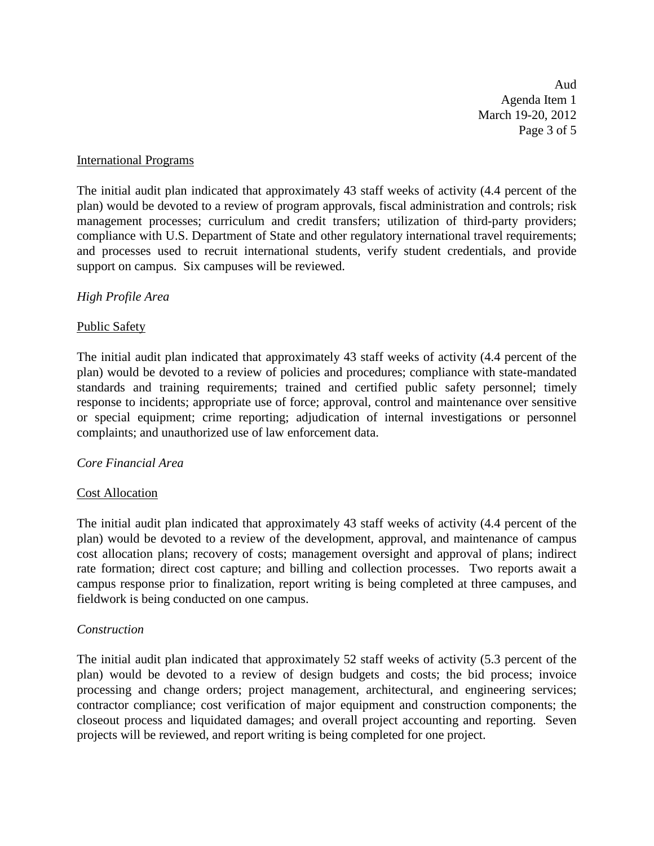Aud Agenda Item 1 March 19-20, 2012 Page 3 of 5

## International Programs

The initial audit plan indicated that approximately 43 staff weeks of activity (4.4 percent of the plan) would be devoted to a review of program approvals, fiscal administration and controls; risk management processes; curriculum and credit transfers; utilization of third-party providers; compliance with U.S. Department of State and other regulatory international travel requirements; and processes used to recruit international students, verify student credentials, and provide support on campus. Six campuses will be reviewed.

# *High Profile Area*

# Public Safety

The initial audit plan indicated that approximately 43 staff weeks of activity (4.4 percent of the plan) would be devoted to a review of policies and procedures; compliance with state-mandated standards and training requirements; trained and certified public safety personnel; timely response to incidents; appropriate use of force; approval, control and maintenance over sensitive or special equipment; crime reporting; adjudication of internal investigations or personnel complaints; and unauthorized use of law enforcement data.

# *Core Financial Area*

# Cost Allocation

The initial audit plan indicated that approximately 43 staff weeks of activity (4.4 percent of the plan) would be devoted to a review of the development, approval, and maintenance of campus cost allocation plans; recovery of costs; management oversight and approval of plans; indirect rate formation; direct cost capture; and billing and collection processes. Two reports await a campus response prior to finalization, report writing is being completed at three campuses, and fieldwork is being conducted on one campus.

# *Construction*

The initial audit plan indicated that approximately 52 staff weeks of activity (5.3 percent of the plan) would be devoted to a review of design budgets and costs; the bid process; invoice processing and change orders; project management, architectural, and engineering services; contractor compliance; cost verification of major equipment and construction components; the closeout process and liquidated damages; and overall project accounting and reporting. Seven projects will be reviewed, and report writing is being completed for one project.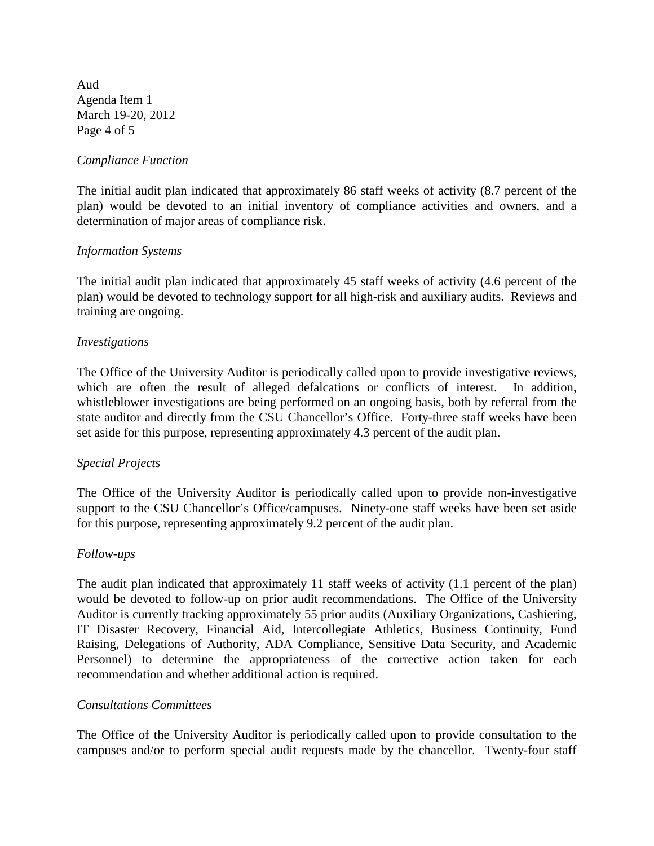Aud Agenda Item 1 March 19-20, 2012 Page 4 of 5

# *Compliance Function*

The initial audit plan indicated that approximately 86 staff weeks of activity (8.7 percent of the plan) would be devoted to an initial inventory of compliance activities and owners, and a determination of major areas of compliance risk.

# *Information Systems*

The initial audit plan indicated that approximately 45 staff weeks of activity (4.6 percent of the plan) would be devoted to technology support for all high-risk and auxiliary audits. Reviews and training are ongoing.

## *Investigations*

The Office of the University Auditor is periodically called upon to provide investigative reviews, which are often the result of alleged defalcations or conflicts of interest. In addition, whistleblower investigations are being performed on an ongoing basis, both by referral from the state auditor and directly from the CSU Chancellor's Office. Forty-three staff weeks have been set aside for this purpose, representing approximately 4.3 percent of the audit plan.

# *Special Projects*

The Office of the University Auditor is periodically called upon to provide non-investigative support to the CSU Chancellor's Office/campuses. Ninety-one staff weeks have been set aside for this purpose, representing approximately 9.2 percent of the audit plan.

# *Follow-ups*

The audit plan indicated that approximately 11 staff weeks of activity (1.1 percent of the plan) would be devoted to follow-up on prior audit recommendations. The Office of the University Auditor is currently tracking approximately 55 prior audits (Auxiliary Organizations, Cashiering, IT Disaster Recovery, Financial Aid, Intercollegiate Athletics, Business Continuity, Fund Raising, Delegations of Authority, ADA Compliance, Sensitive Data Security, and Academic Personnel) to determine the appropriateness of the corrective action taken for each recommendation and whether additional action is required.

## *Consultations Committees*

The Office of the University Auditor is periodically called upon to provide consultation to the campuses and/or to perform special audit requests made by the chancellor. Twenty-four staff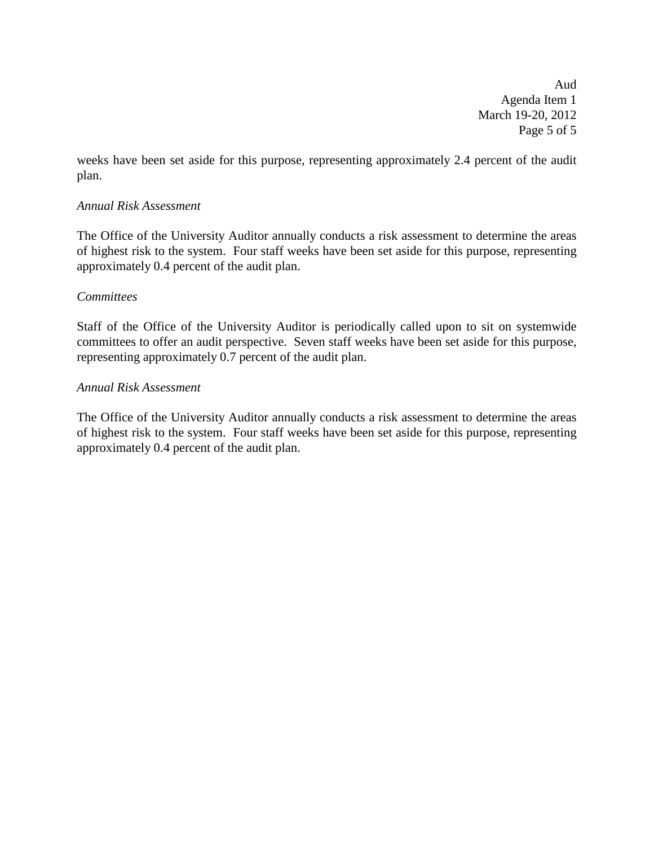Aud Agenda Item 1 March 19-20, 2012 Page 5 of 5

weeks have been set aside for this purpose, representing approximately 2.4 percent of the audit plan.

# *Annual Risk Assessment*

The Office of the University Auditor annually conducts a risk assessment to determine the areas of highest risk to the system. Four staff weeks have been set aside for this purpose, representing approximately 0.4 percent of the audit plan.

## *Committees*

Staff of the Office of the University Auditor is periodically called upon to sit on systemwide committees to offer an audit perspective. Seven staff weeks have been set aside for this purpose, representing approximately 0.7 percent of the audit plan.

## *Annual Risk Assessment*

The Office of the University Auditor annually conducts a risk assessment to determine the areas of highest risk to the system. Four staff weeks have been set aside for this purpose, representing approximately 0.4 percent of the audit plan.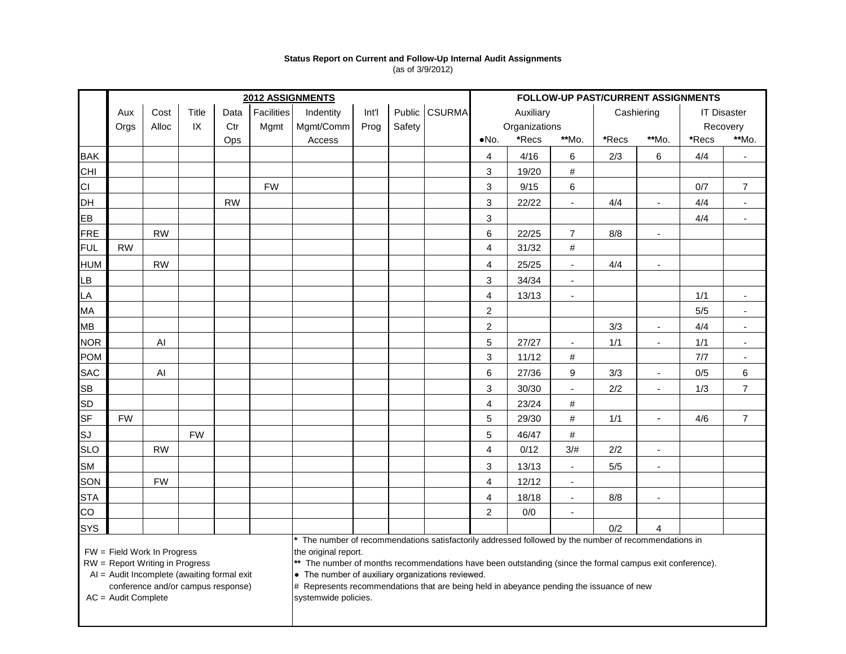#### **Status Report on Current and Follow-Up Internal Audit Assignments** (as of 3/9/2012)

|            | 2012 ASSIGNMENTS |           |           |           |            |                                                                                                       |       |        |               | FOLLOW-UP PAST/CURRENT ASSIGNMENTS |           |                          |       |                          |                    |                |  |
|------------|------------------|-----------|-----------|-----------|------------|-------------------------------------------------------------------------------------------------------|-------|--------|---------------|------------------------------------|-----------|--------------------------|-------|--------------------------|--------------------|----------------|--|
|            | Aux              | Cost      | Title     | Data      | Facilities | Indentity                                                                                             | Int'l |        | Public CSURMA |                                    | Auxiliary |                          |       | Cashiering               | <b>IT Disaster</b> |                |  |
|            | Orgs             | Alloc     | IX        | Ctr       | Mgmt       | Mgmt/Comm                                                                                             | Prog  | Safety |               | Organizations                      |           |                          |       |                          |                    | Recovery       |  |
|            |                  |           |           | Ops       |            | Access                                                                                                |       |        |               | *Recs<br>**Mo.<br>$\bullet$ No.    |           | *Recs                    | **Mo. | *Recs                    | **Mo.              |                |  |
| <b>BAK</b> |                  |           |           |           |            |                                                                                                       |       |        |               | $\overline{4}$                     | 4/16      | 6                        | 2/3   | $\,6\,$                  | 4/4                | $\blacksquare$ |  |
| CHI        |                  |           |           |           |            |                                                                                                       |       |        |               | 3                                  | 19/20     | $\#$                     |       |                          |                    |                |  |
| CI         |                  |           |           |           | <b>FW</b>  |                                                                                                       |       |        |               | 3                                  | 9/15      | 6                        |       |                          | 0/7                | $\overline{7}$ |  |
| <b>DH</b>  |                  |           |           | <b>RW</b> |            |                                                                                                       |       |        |               | 3                                  | 22/22     | $\blacksquare$           | 4/4   | $\blacksquare$           | 4/4                | $\sim$         |  |
| EB         |                  |           |           |           |            |                                                                                                       |       |        |               | 3                                  |           |                          |       |                          | 4/4                | $\blacksquare$ |  |
| <b>FRE</b> |                  | <b>RW</b> |           |           |            |                                                                                                       |       |        |               | 6                                  | 22/25     | $\overline{7}$           | 8/8   | $\blacksquare$           |                    |                |  |
| <b>FUL</b> | <b>RW</b>        |           |           |           |            |                                                                                                       |       |        |               | $\overline{\mathbf{4}}$            | 31/32     | $\#$                     |       |                          |                    |                |  |
| <b>HUM</b> |                  | <b>RW</b> |           |           |            |                                                                                                       |       |        |               | $\overline{\mathbf{4}}$            | 25/25     | $\blacksquare$           | 4/4   | $\overline{\phantom{a}}$ |                    |                |  |
| LB         |                  |           |           |           |            |                                                                                                       |       |        |               | 3                                  | 34/34     | $\blacksquare$           |       |                          |                    |                |  |
| LA         |                  |           |           |           |            |                                                                                                       |       |        |               | $\overline{4}$                     | 13/13     | $\overline{\phantom{a}}$ |       |                          | $1/1$              | $\blacksquare$ |  |
| MA         |                  |           |           |           |            |                                                                                                       |       |        |               | $\overline{2}$                     |           |                          |       |                          | 5/5                | $\blacksquare$ |  |
| <b>MB</b>  |                  |           |           |           |            |                                                                                                       |       |        |               | $\overline{c}$                     |           |                          | 3/3   | $\blacksquare$           | 4/4                | $\blacksquare$ |  |
| <b>NOR</b> |                  | AI        |           |           |            |                                                                                                       |       |        |               | $\sqrt{5}$                         | 27/27     | $\overline{\phantom{a}}$ | 1/1   | $\blacksquare$           | 1/1                | $\blacksquare$ |  |
| <b>POM</b> |                  |           |           |           |            |                                                                                                       |       |        |               | 3                                  | 11/12     | $\#$                     |       |                          | 7/7                | $\blacksquare$ |  |
| <b>SAC</b> |                  | AI        |           |           |            |                                                                                                       |       |        |               | 6                                  | 27/36     | 9                        | 3/3   | $\overline{\phantom{a}}$ | 0/5                | $\,6\,$        |  |
| <b>SB</b>  |                  |           |           |           |            |                                                                                                       |       |        |               | 3                                  | 30/30     | $\overline{\phantom{a}}$ | 2/2   | $\mathbf{r}$             | 1/3                | $\overline{7}$ |  |
| <b>SD</b>  |                  |           |           |           |            |                                                                                                       |       |        |               | $\overline{4}$                     | 23/24     | $\#$                     |       |                          |                    |                |  |
| <b>SF</b>  | <b>FW</b>        |           |           |           |            |                                                                                                       |       |        |               | 5                                  | 29/30     | #                        | 1/1   | $\overline{\phantom{0}}$ | 4/6                | $\overline{7}$ |  |
| SJ         |                  |           | <b>FW</b> |           |            |                                                                                                       |       |        |               | $\overline{5}$                     | 46/47     | $\#$                     |       |                          |                    |                |  |
| <b>SLO</b> |                  | <b>RW</b> |           |           |            |                                                                                                       |       |        |               | $\overline{4}$                     | 0/12      | 3/#                      | 2/2   | $\blacksquare$           |                    |                |  |
| <b>SM</b>  |                  |           |           |           |            |                                                                                                       |       |        |               | 3                                  | 13/13     | $\blacksquare$           | 5/5   | $\overline{\phantom{a}}$ |                    |                |  |
| SON        |                  | <b>FW</b> |           |           |            |                                                                                                       |       |        |               | 4                                  | 12/12     | $\sim$                   |       |                          |                    |                |  |
| <b>STA</b> |                  |           |           |           |            |                                                                                                       |       |        |               | $\overline{4}$                     | 18/18     | $\blacksquare$           | 8/8   | $\blacksquare$           |                    |                |  |
| CO         |                  |           |           |           |            |                                                                                                       |       |        |               | $\overline{2}$                     | 0/0       | $\overline{\phantom{a}}$ |       |                          |                    |                |  |
| <b>SYS</b> |                  |           |           |           |            |                                                                                                       |       |        |               |                                    |           |                          | 0/2   | 4                        |                    |                |  |
|            |                  |           |           |           |            | * The number of recommendations satisfactorily addressed followed by the number of recommendations in |       |        |               |                                    |           |                          |       |                          |                    |                |  |

 $FW = Field Work In Progress$ <br>RW = Report Writing in Progress  $\begin{cases}$  the original report.

RW = Report Writing in Progress **\*\*** The number of months recommendations have been outstanding (since the formal campus exit conference).

AI = Audit Incomplete (awaiting formal exit  $\bullet$  The number of auxiliary organizations reviewed.

 $AC =$  Audit Complete

conference and/or campus response) # Represents recommendations that are being held in abeyance pending the issuance of new<br>Audit Complete<br>Audit Complete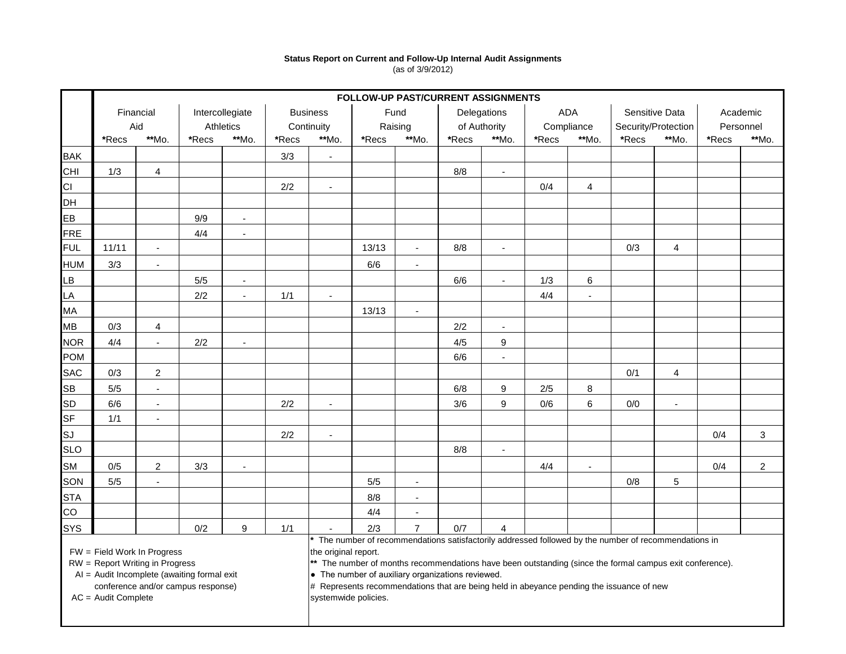#### **Status Report on Current and Follow-Up Internal Audit Assignments** (as of 3/9/2012)

|                                                                                                               |                  | FOLLOW-UP PAST/CURRENT ASSIGNMENTS |                              |                          |                               |                                                                                                                                                                                                                                                                                              |                 |                          |                             |                          |                   |                          |                                       |                          |                       |                |
|---------------------------------------------------------------------------------------------------------------|------------------|------------------------------------|------------------------------|--------------------------|-------------------------------|----------------------------------------------------------------------------------------------------------------------------------------------------------------------------------------------------------------------------------------------------------------------------------------------|-----------------|--------------------------|-----------------------------|--------------------------|-------------------|--------------------------|---------------------------------------|--------------------------|-----------------------|----------------|
|                                                                                                               | Financial<br>Aid |                                    | Intercollegiate<br>Athletics |                          | <b>Business</b><br>Continuity |                                                                                                                                                                                                                                                                                              | Fund<br>Raising |                          | Delegations<br>of Authority |                          | ADA<br>Compliance |                          | Sensitive Data<br>Security/Protection |                          | Academic<br>Personnel |                |
|                                                                                                               |                  |                                    |                              |                          |                               |                                                                                                                                                                                                                                                                                              |                 |                          |                             |                          |                   |                          |                                       |                          |                       |                |
|                                                                                                               | *Recs            | **Mo.                              | **Mo.<br>*Recs               |                          | **Mo.<br>*Recs                |                                                                                                                                                                                                                                                                                              | *Recs           | **Mo.                    | *Recs                       | **Mo.                    | *Recs             | **Mo.                    | *Recs                                 | **Mo.                    | *Recs                 | **Mo.          |
| <b>BAK</b>                                                                                                    |                  |                                    |                              |                          | 3/3                           | $\blacksquare$                                                                                                                                                                                                                                                                               |                 |                          |                             |                          |                   |                          |                                       |                          |                       |                |
| <b>CHI</b>                                                                                                    | 1/3              | $\overline{4}$                     |                              |                          |                               |                                                                                                                                                                                                                                                                                              |                 |                          | 8/8                         | $\overline{\phantom{a}}$ |                   |                          |                                       |                          |                       |                |
| CI                                                                                                            |                  |                                    |                              |                          | 2/2                           |                                                                                                                                                                                                                                                                                              |                 |                          |                             |                          | 0/4               | $\overline{4}$           |                                       |                          |                       |                |
| DH                                                                                                            |                  |                                    |                              |                          |                               |                                                                                                                                                                                                                                                                                              |                 |                          |                             |                          |                   |                          |                                       |                          |                       |                |
| EB                                                                                                            |                  |                                    | 9/9                          | $\sim$                   |                               |                                                                                                                                                                                                                                                                                              |                 |                          |                             |                          |                   |                          |                                       |                          |                       |                |
| <b>FRE</b>                                                                                                    |                  |                                    | 4/4                          | $\blacksquare$           |                               |                                                                                                                                                                                                                                                                                              |                 |                          |                             |                          |                   |                          |                                       |                          |                       |                |
| <b>FUL</b>                                                                                                    | 11/11            | $\blacksquare$                     |                              |                          |                               |                                                                                                                                                                                                                                                                                              | 13/13           |                          | 8/8                         |                          |                   |                          | 0/3                                   | 4                        |                       |                |
| <b>HUM</b>                                                                                                    | 3/3              | $\blacksquare$                     |                              |                          |                               |                                                                                                                                                                                                                                                                                              | 6/6             | $\overline{\phantom{a}}$ |                             |                          |                   |                          |                                       |                          |                       |                |
| <b>LB</b>                                                                                                     |                  |                                    | $5/5$                        | $\blacksquare$           |                               |                                                                                                                                                                                                                                                                                              |                 |                          | 6/6                         | $\blacksquare$           | 1/3               | 6                        |                                       |                          |                       |                |
| LA                                                                                                            |                  |                                    | $2/2$                        | $\overline{\phantom{a}}$ | 1/1                           | $\overline{\phantom{a}}$                                                                                                                                                                                                                                                                     |                 |                          |                             |                          | 4/4               | $\overline{\phantom{a}}$ |                                       |                          |                       |                |
| <b>MA</b>                                                                                                     |                  |                                    |                              |                          |                               |                                                                                                                                                                                                                                                                                              | 13/13           |                          |                             |                          |                   |                          |                                       |                          |                       |                |
| <b>MB</b>                                                                                                     | 0/3              | 4                                  |                              |                          |                               |                                                                                                                                                                                                                                                                                              |                 |                          | 2/2                         | $\overline{a}$           |                   |                          |                                       |                          |                       |                |
| <b>NOR</b>                                                                                                    | 4/4              | $\blacksquare$                     | 2/2                          | $\overline{\phantom{a}}$ |                               |                                                                                                                                                                                                                                                                                              |                 |                          | 4/5                         | 9                        |                   |                          |                                       |                          |                       |                |
| <b>POM</b>                                                                                                    |                  |                                    |                              |                          |                               |                                                                                                                                                                                                                                                                                              |                 |                          | 6/6                         | $\blacksquare$           |                   |                          |                                       |                          |                       |                |
| <b>SAC</b>                                                                                                    | 0/3              | $\overline{a}$                     |                              |                          |                               |                                                                                                                                                                                                                                                                                              |                 |                          |                             |                          |                   |                          | 0/1                                   | $\overline{4}$           |                       |                |
| <b>SB</b>                                                                                                     | 5/5              | $\blacksquare$                     |                              |                          |                               |                                                                                                                                                                                                                                                                                              |                 |                          | 6/8                         | 9                        | 2/5               | 8                        |                                       |                          |                       |                |
| <b>SD</b>                                                                                                     | 6/6              | $\blacksquare$                     |                              |                          | 2/2                           | $\overline{a}$                                                                                                                                                                                                                                                                               |                 |                          | 3/6                         | 9                        | 0/6               | 6                        | 0/0                                   | $\overline{\phantom{a}}$ |                       |                |
| SF                                                                                                            | 1/1              | $\blacksquare$                     |                              |                          |                               |                                                                                                                                                                                                                                                                                              |                 |                          |                             |                          |                   |                          |                                       |                          |                       |                |
| SJ                                                                                                            |                  |                                    |                              |                          | 2/2                           | $\blacksquare$                                                                                                                                                                                                                                                                               |                 |                          |                             |                          |                   |                          |                                       |                          | 0/4                   | 3              |
| <b>SLO</b>                                                                                                    |                  |                                    |                              |                          |                               |                                                                                                                                                                                                                                                                                              |                 |                          | 8/8                         | $\blacksquare$           |                   |                          |                                       |                          |                       |                |
| <b>SM</b>                                                                                                     | 0/5              | $\overline{a}$                     | 3/3                          | $\overline{\phantom{a}}$ |                               |                                                                                                                                                                                                                                                                                              |                 |                          |                             |                          | 4/4               | $\overline{\phantom{a}}$ |                                       |                          | 0/4                   | $\overline{2}$ |
| SON                                                                                                           | 5/5              | $\blacksquare$                     |                              |                          |                               |                                                                                                                                                                                                                                                                                              | 5/5             | $\blacksquare$           |                             |                          |                   |                          | 0/8                                   | 5                        |                       |                |
| <b>STA</b>                                                                                                    |                  |                                    |                              |                          |                               |                                                                                                                                                                                                                                                                                              | 8/8             | $\blacksquare$           |                             |                          |                   |                          |                                       |                          |                       |                |
| CO                                                                                                            |                  |                                    |                              |                          |                               |                                                                                                                                                                                                                                                                                              | 4/4             | $\overline{\phantom{a}}$ |                             |                          |                   |                          |                                       |                          |                       |                |
| SYS                                                                                                           |                  |                                    | 0/2                          | $\boldsymbol{9}$         | 1/1                           |                                                                                                                                                                                                                                                                                              | 2/3             | $\overline{7}$           | 0/7                         | $\overline{4}$           |                   |                          |                                       |                          |                       |                |
| FW = Field Work In Progress<br>RW = Report Writing in Progress<br>AI = Audit Incomplete (awaiting formal exit |                  |                                    |                              |                          |                               | The number of recommendations satisfactorily addressed followed by the number of recommendations in<br>the original report.<br>** The number of months recommendations have been outstanding (since the formal campus exit conference).<br>• The number of auxiliary organizations reviewed. |                 |                          |                             |                          |                   |                          |                                       |                          |                       |                |

 $AC =$  Audit Complete

conference and/or campus response) # Represents recommendations that are being held in abeyance pending the issuance of new<br>Audit Complete<br>Audit Complete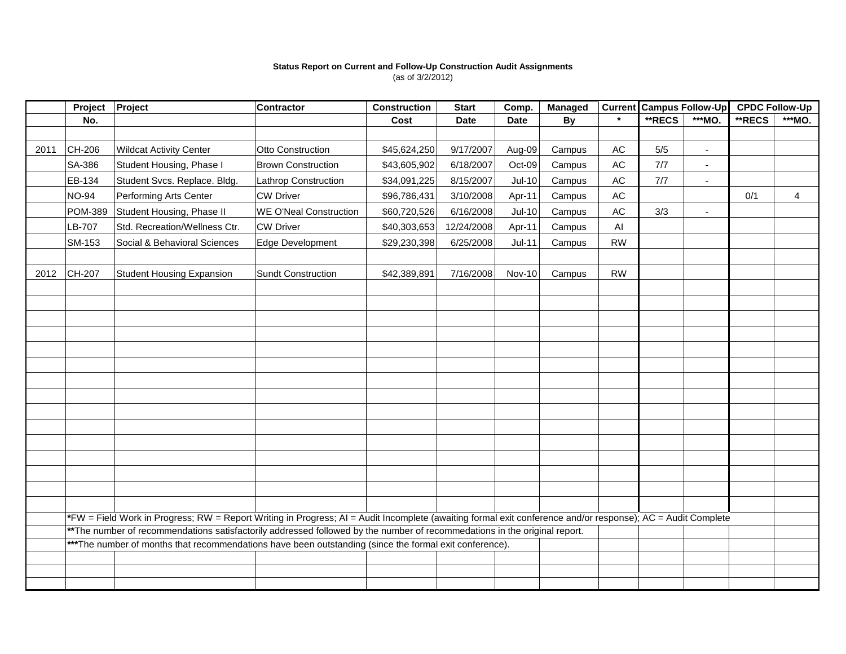#### **Status Report on Current and Follow-Up Construction Audit Assignments** (as of 3/2/2012)

|      | Project        | Project                                                                                                                                                     | <b>Contractor</b>             | <b>Construction</b> | <b>Start</b> | Comp.         | <b>Managed</b> |               | <b>Current Campus Follow-Up</b> |                          | <b>CPDC Follow-Up</b> |        |
|------|----------------|-------------------------------------------------------------------------------------------------------------------------------------------------------------|-------------------------------|---------------------|--------------|---------------|----------------|---------------|---------------------------------|--------------------------|-----------------------|--------|
|      | No.            |                                                                                                                                                             |                               | Cost                | <b>Date</b>  | <b>Date</b>   | <b>By</b>      |               | <b>**RECS</b>                   | ***MO.                   | **RECS                | ***MO. |
|      |                |                                                                                                                                                             |                               |                     |              |               |                |               |                                 |                          |                       |        |
| 2011 | CH-206         | <b>Wildcat Activity Center</b>                                                                                                                              | Otto Construction             | \$45,624,250        | 9/17/2007    | Aug-09        | Campus         | $\mathsf{AC}$ | $5/5$                           | $\blacksquare$           |                       |        |
|      | SA-386         | Student Housing, Phase I                                                                                                                                    | <b>Brown Construction</b>     | \$43,605,902        | 6/18/2007    | Oct-09        | Campus         | AC            | 7/7                             | $\sim$                   |                       |        |
|      | EB-134         | Student Svcs. Replace. Bldg.                                                                                                                                | Lathrop Construction          | \$34,091,225        | 8/15/2007    | $Jul-10$      | Campus         | $\mathsf{AC}$ | $7/7$                           | $\overline{\phantom{a}}$ |                       |        |
|      | <b>NO-94</b>   | Performing Arts Center                                                                                                                                      | <b>CW Driver</b>              | \$96,786,431        | 3/10/2008    | Apr-11        | Campus         | AC            |                                 |                          | 0/1                   | 4      |
|      | <b>POM-389</b> | Student Housing, Phase II                                                                                                                                   | <b>WE O'Neal Construction</b> | \$60,720,526        | 6/16/2008    | $Jul-10$      | Campus         | $\mathsf{AC}$ | 3/3                             | $\blacksquare$           |                       |        |
|      | LB-707         | Std. Recreation/Wellness Ctr.                                                                                                                               | <b>CW Driver</b>              | \$40,303,653        | 12/24/2008   | Apr-11        | Campus         | AI            |                                 |                          |                       |        |
|      | SM-153         | Social & Behavioral Sciences                                                                                                                                | Edge Development              | \$29,230,398        | 6/25/2008    | $Jul-11$      | Campus         | <b>RW</b>     |                                 |                          |                       |        |
|      |                |                                                                                                                                                             |                               |                     |              |               |                |               |                                 |                          |                       |        |
| 2012 | CH-207         | <b>Student Housing Expansion</b>                                                                                                                            | <b>Sundt Construction</b>     | \$42,389,891        | 7/16/2008    | <b>Nov-10</b> | Campus         | <b>RW</b>     |                                 |                          |                       |        |
|      |                |                                                                                                                                                             |                               |                     |              |               |                |               |                                 |                          |                       |        |
|      |                |                                                                                                                                                             |                               |                     |              |               |                |               |                                 |                          |                       |        |
|      |                |                                                                                                                                                             |                               |                     |              |               |                |               |                                 |                          |                       |        |
|      |                |                                                                                                                                                             |                               |                     |              |               |                |               |                                 |                          |                       |        |
|      |                |                                                                                                                                                             |                               |                     |              |               |                |               |                                 |                          |                       |        |
|      |                |                                                                                                                                                             |                               |                     |              |               |                |               |                                 |                          |                       |        |
|      |                |                                                                                                                                                             |                               |                     |              |               |                |               |                                 |                          |                       |        |
|      |                |                                                                                                                                                             |                               |                     |              |               |                |               |                                 |                          |                       |        |
|      |                |                                                                                                                                                             |                               |                     |              |               |                |               |                                 |                          |                       |        |
|      |                |                                                                                                                                                             |                               |                     |              |               |                |               |                                 |                          |                       |        |
|      |                |                                                                                                                                                             |                               |                     |              |               |                |               |                                 |                          |                       |        |
|      |                |                                                                                                                                                             |                               |                     |              |               |                |               |                                 |                          |                       |        |
|      |                |                                                                                                                                                             |                               |                     |              |               |                |               |                                 |                          |                       |        |
|      |                |                                                                                                                                                             |                               |                     |              |               |                |               |                                 |                          |                       |        |
|      |                |                                                                                                                                                             |                               |                     |              |               |                |               |                                 |                          |                       |        |
|      |                | *FW = Field Work in Progress; RW = Report Writing in Progress; AI = Audit Incomplete (awaiting formal exit conference and/or response); AC = Audit Complete |                               |                     |              |               |                |               |                                 |                          |                       |        |
|      |                | ** The number of recommendations satisfactorily addressed followed by the number of recommedations in the original report.                                  |                               |                     |              |               |                |               |                                 |                          |                       |        |
|      |                | *** The number of months that recommendations have been outstanding (since the formal exit conference).                                                     |                               |                     |              |               |                |               |                                 |                          |                       |        |
|      |                |                                                                                                                                                             |                               |                     |              |               |                |               |                                 |                          |                       |        |
|      |                |                                                                                                                                                             |                               |                     |              |               |                |               |                                 |                          |                       |        |
|      |                |                                                                                                                                                             |                               |                     |              |               |                |               |                                 |                          |                       |        |